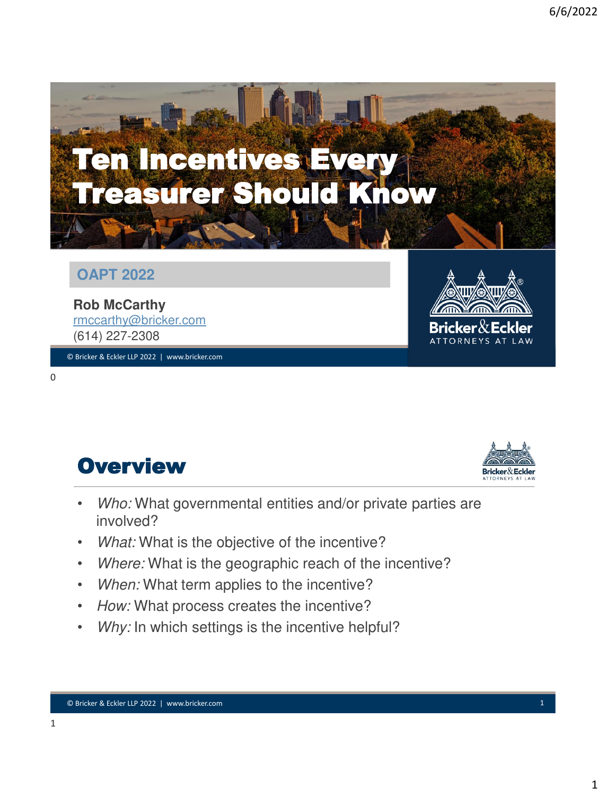

#### **OAPT 2022**

**Rob McCarthy** [rmccarthy@bricker.com](mailto:jbell@bricker.com) (614) 227-2308

© Bricker & Eckler LLP 2022 | www.bricker.com © Bricker & Eckler LLP 2021 | www.bricker.com 0







- *Who:* What governmental entities and/or private parties are involved?
- *What:* What is the objective of the incentive?
- *Where:* What is the geographic reach of the incentive?
- *When:* What term applies to the incentive?
- *How:* What process creates the incentive?
- Why: In which settings is the incentive helpful?

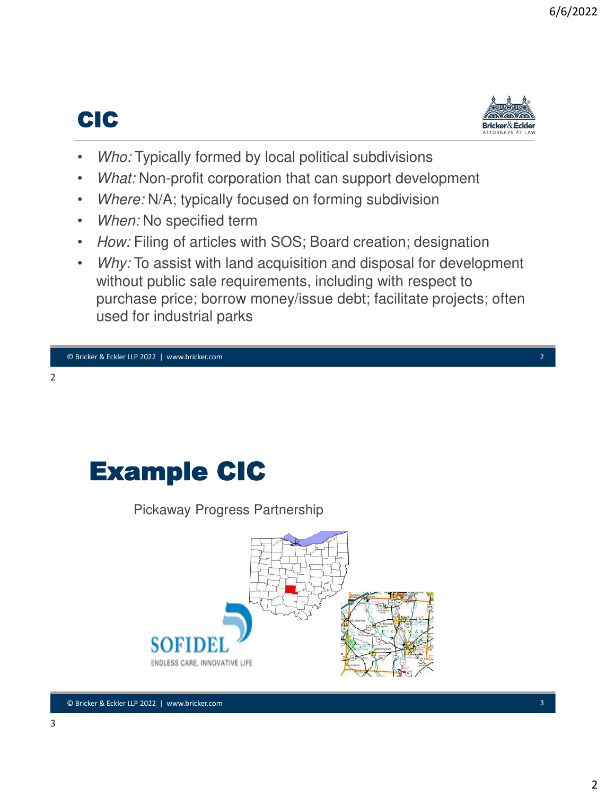## CIC



- *Who:* Typically formed by local political subdivisions
- *What:* Non-profit corporation that can support development
- *Where: N/A; typically focused on forming subdivision*
- *When:* No specified term
- *How:* Filing of articles with SOS; Board creation; designation
- *Why:* To assist with land acquisition and disposal for development without public sale requirements, including with respect to purchase price; borrow money/issue debt; facilitate projects; often used for industrial parks

# Example CIC

Pickaway Progress Partnership

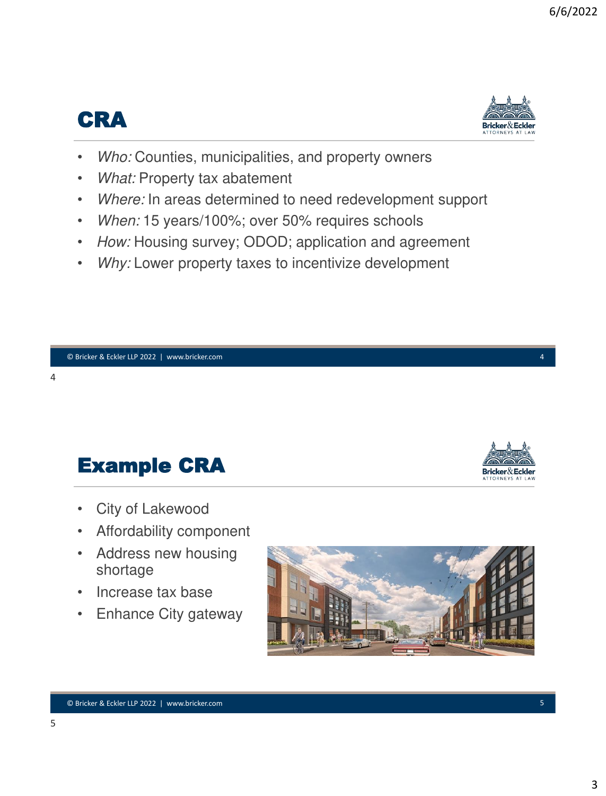## CRA



Bricker & Eckler

- *Who:* Counties, municipalities, and property owners
- *What:* Property tax abatement
- *Where:* In areas determined to need redevelopment support
- When: 15 years/100%; over 50% requires schools
- *How:* Housing survey; ODOD; application and agreement
- Why: Lower property taxes to incentivize development

Example CRA

- City of Lakewood
- Affordability component
- Address new housing shortage
- Increase tax base
- Enhance City gateway

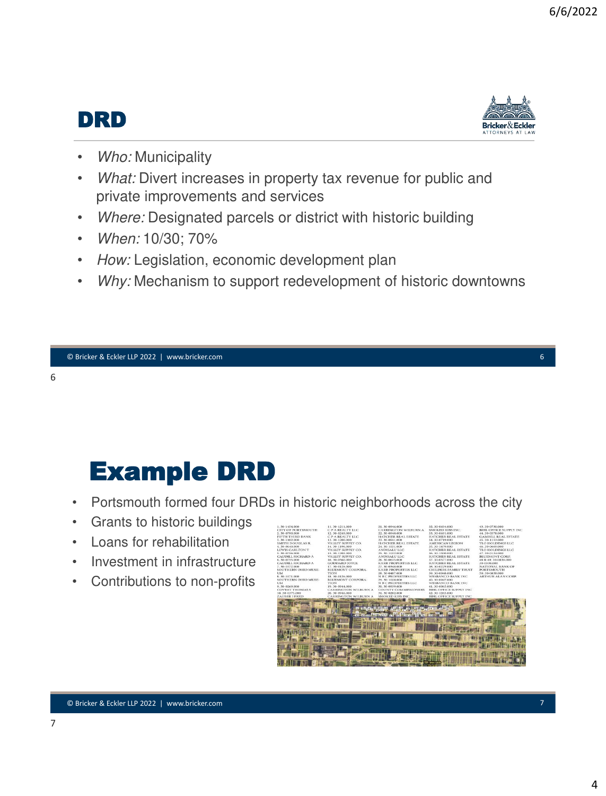## DRD



- *Who:* Municipality
- *What:* Divert increases in property tax revenue for public and private improvements and services
- *Where:* Designated parcels or district with historic building
- *When:* 10/30; 70%
- *How:* Legislation, economic development plan
- *Why:* Mechanism to support redevelopment of historic downtowns

# Example DRD

- Portsmouth formed four DRDs in historic neighborhoods across the city
- Grants to historic buildings
- Loans for rehabilitation
- Investment in infrastructure
- Contributions to non-profits

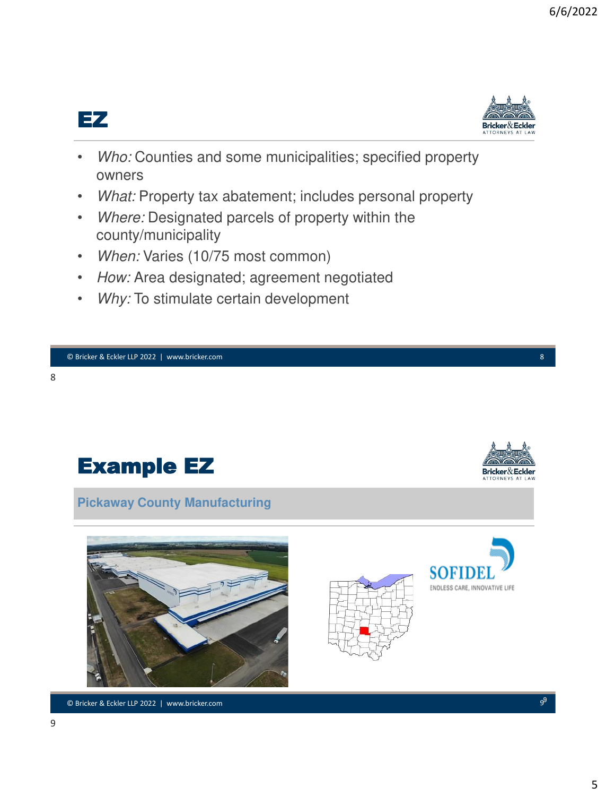



- *Who:* Counties and some municipalities; specified property owners
- *What:* Property tax abatement; includes personal property
- *Where:* Designated parcels of property within the county/municipality
- *When:* Varies (10/75 most common)
- *How:* Area designated; agreement negotiated
- *Why:* To stimulate certain development



© Bricker & Eckler LLP 2022 | www.bricker.com © Bricker & Eckler LLP 2021 | www.bricker.com 9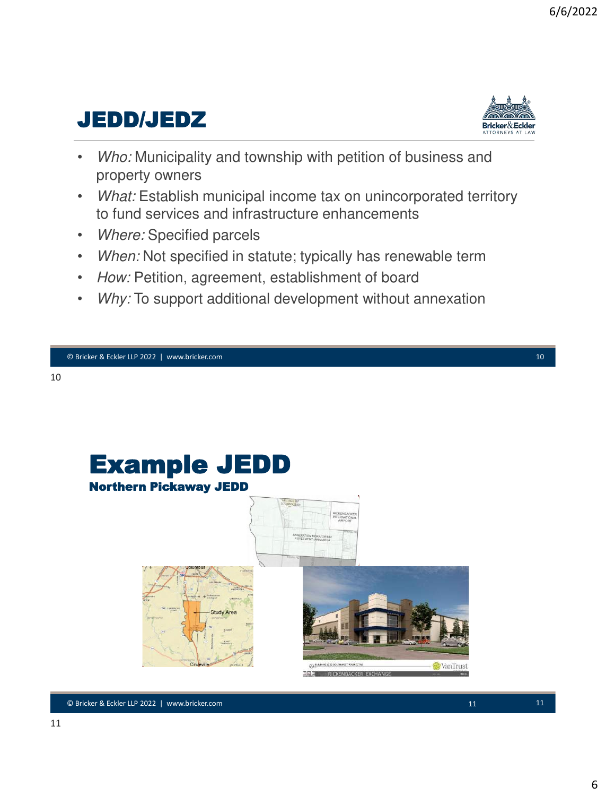## JEDD/JEDZ



- *Who:* Municipality and township with petition of business and property owners
- *What:* Establish municipal income tax on unincorporated territory to fund services and infrastructure enhancements
- *Where:* Specified parcels
- *When:* Not specified in statute; typically has renewable term
- *How:* Petition, agreement, establishment of board
- *Why:* To support additional development without annexation

© Bricker & Eckler LLP 2022 | www.bricker.com © Bricker & Eckler LLP 2021 | www.bricker.com 10

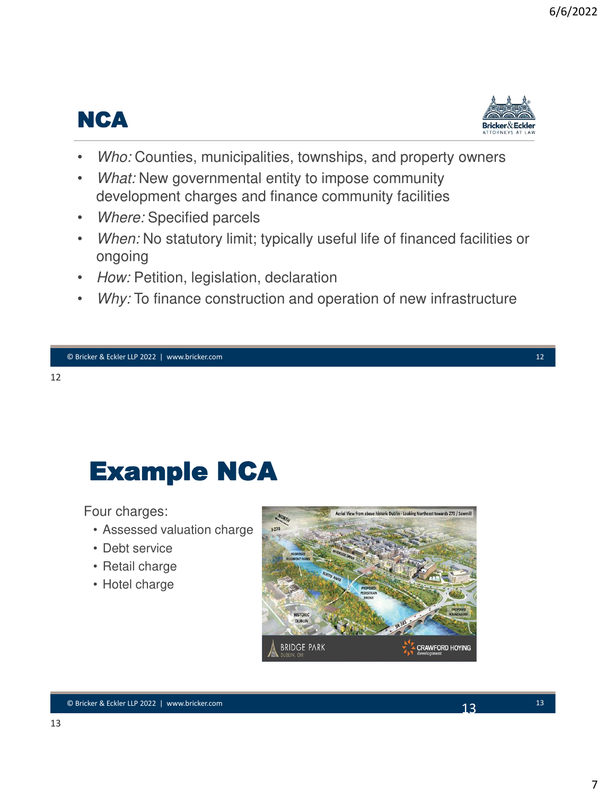



- *Who:* Counties, municipalities, townships, and property owners
- *What:* New governmental entity to impose community development charges and finance community facilities
- *Where:* Specified parcels
- *When:* No statutory limit; typically useful life of financed facilities or ongoing
- *How:* Petition, legislation, declaration
- *Why:* To finance construction and operation of new infrastructure

#### 12

# Example NCA

Four charges:

- Assessed valuation charge
- Debt service
- Retail charge
- Hotel charge

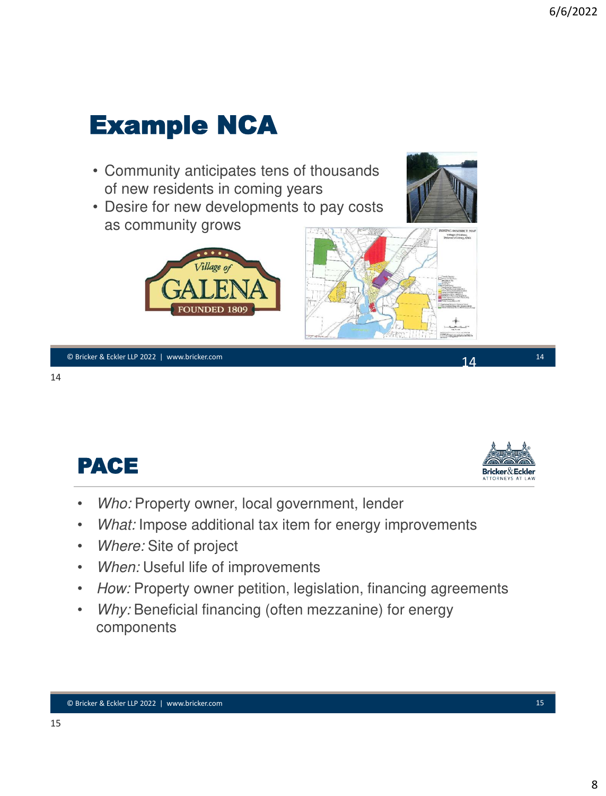

© Bricker & Eckler LLP 2022 | www.bricker.com © Bricker & Eckler LLP 2021 | www.bricker.com 14





- *Who:* Property owner, local government, lender
- *What:* Impose additional tax item for energy improvements
- *Where:* Site of project
- *When:* Useful life of improvements
- *How:* Property owner petition, legislation, financing agreements
- *Why:* Beneficial financing (often mezzanine) for energy components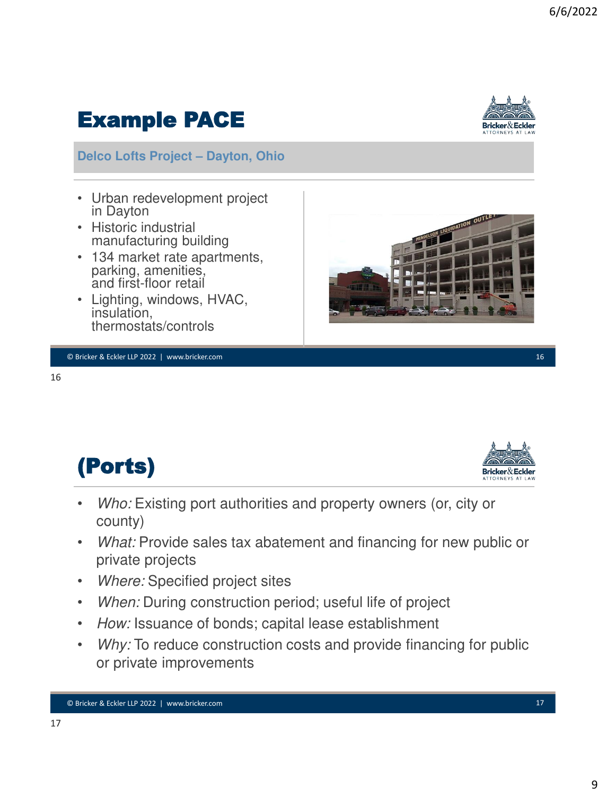# **Delco Lofts Project – Dayton, Ohio**

Example PACE

- Urban redevelopment project in Dayton
- Historic industrial manufacturing building
- 134 market rate apartments, parking, amenities, and first-floor retail
- Lighting, windows, HVAC, insulation, thermostats/controls

16

17

(Ports)

- *Who:* Existing port authorities and property owners (or, city or county)
- *What:* Provide sales tax abatement and financing for new public or private projects
- *Where:* Specified project sites
- *When:* During construction period; useful life of project
- *How:* Issuance of bonds; capital lease establishment
- Why: To reduce construction costs and provide financing for public or private improvements





Bricker $\&$ Eckler

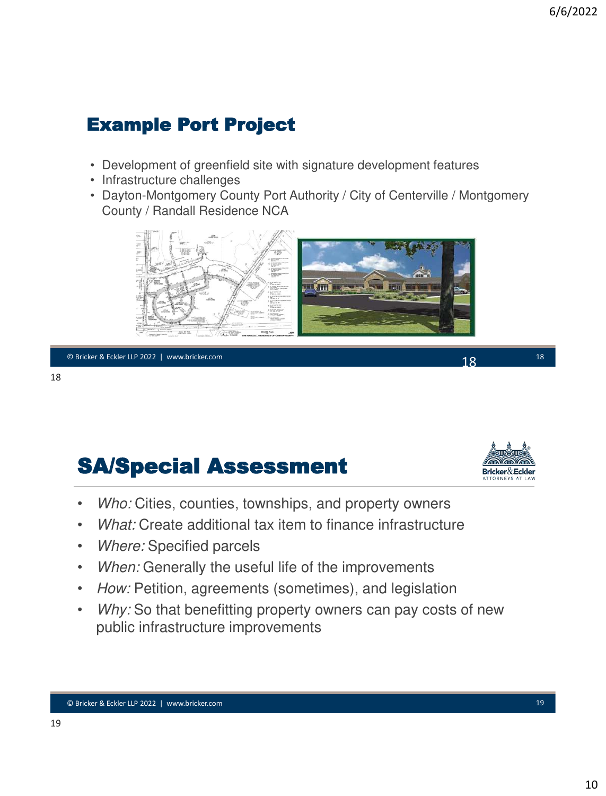### Example Port Project

- Development of greenfield site with signature development features
- Infrastructure challenges
- Dayton-Montgomery County Port Authority / City of Centerville / Montgomery County / Randall Residence NCA



© Bricker & Eckler LLP 2022 | www.bricker.com © Bricker & Eckler LLP 2021 | www.bricker.com 18

18

## SA/Special Assessment



- *Who:* Cities, counties, townships, and property owners
- *What:* Create additional tax item to finance infrastructure
- *Where:* Specified parcels
- *When:* Generally the useful life of the improvements
- *How:* Petition, agreements (sometimes), and legislation
- *Why:* So that benefitting property owners can pay costs of new public infrastructure improvements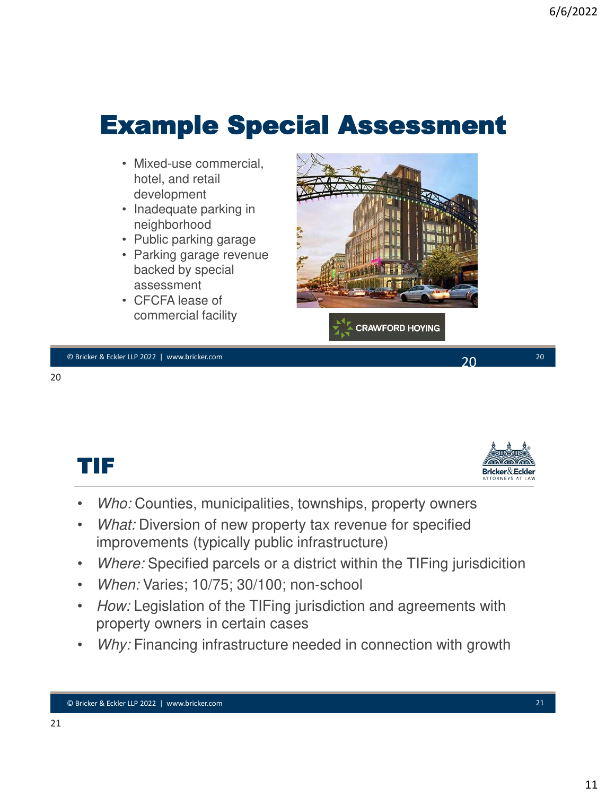# Example Special Assessment

- Mixed-use commercial, hotel, and retail development
- Inadequate parking in neighborhood
- Public parking garage
- Parking garage revenue backed by special assessment
- CFCFA lease of commercial facility



© Bricker & Eckler LLP 2022 | www.bricker.com © Bricker & Eckler LLP 2021 | www.bricker.com 20

20

TIF



- *Who:* Counties, municipalities, townships, property owners
- *What:* Diversion of new property tax revenue for specified improvements (typically public infrastructure)
- *Where:* Specified parcels or a district within the TIFing jurisdicition
- *When:* Varies; 10/75; 30/100; non-school
- *How:* Legislation of the TIFing jurisdiction and agreements with property owners in certain cases
- *Why:* Financing infrastructure needed in connection with growth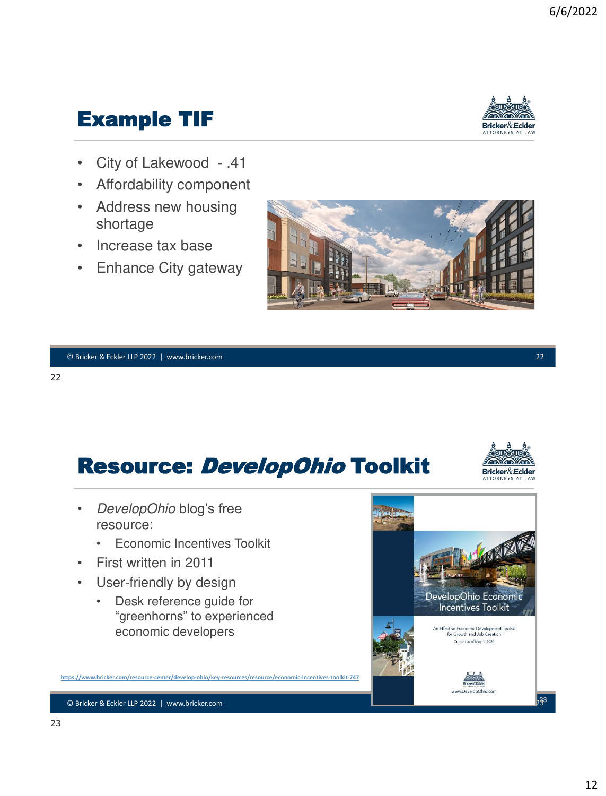## Example TIF



Bricker & Eckler

- City of Lakewood .41
- Affordability component
- Address new housing shortage
- Increase tax base
- Enhance City gateway



## Resource: DevelopOhio Toolkit

- *DevelopOhio* blog's free resource:
	- Economic Incentives Toolkit
- First written in 2011
- User-friendly by design
	- Desk reference guide for "greenhorns" to experienced economic developers

https://www.bricker.com/resource-center/develop-ohio/key-resources/resource/econo